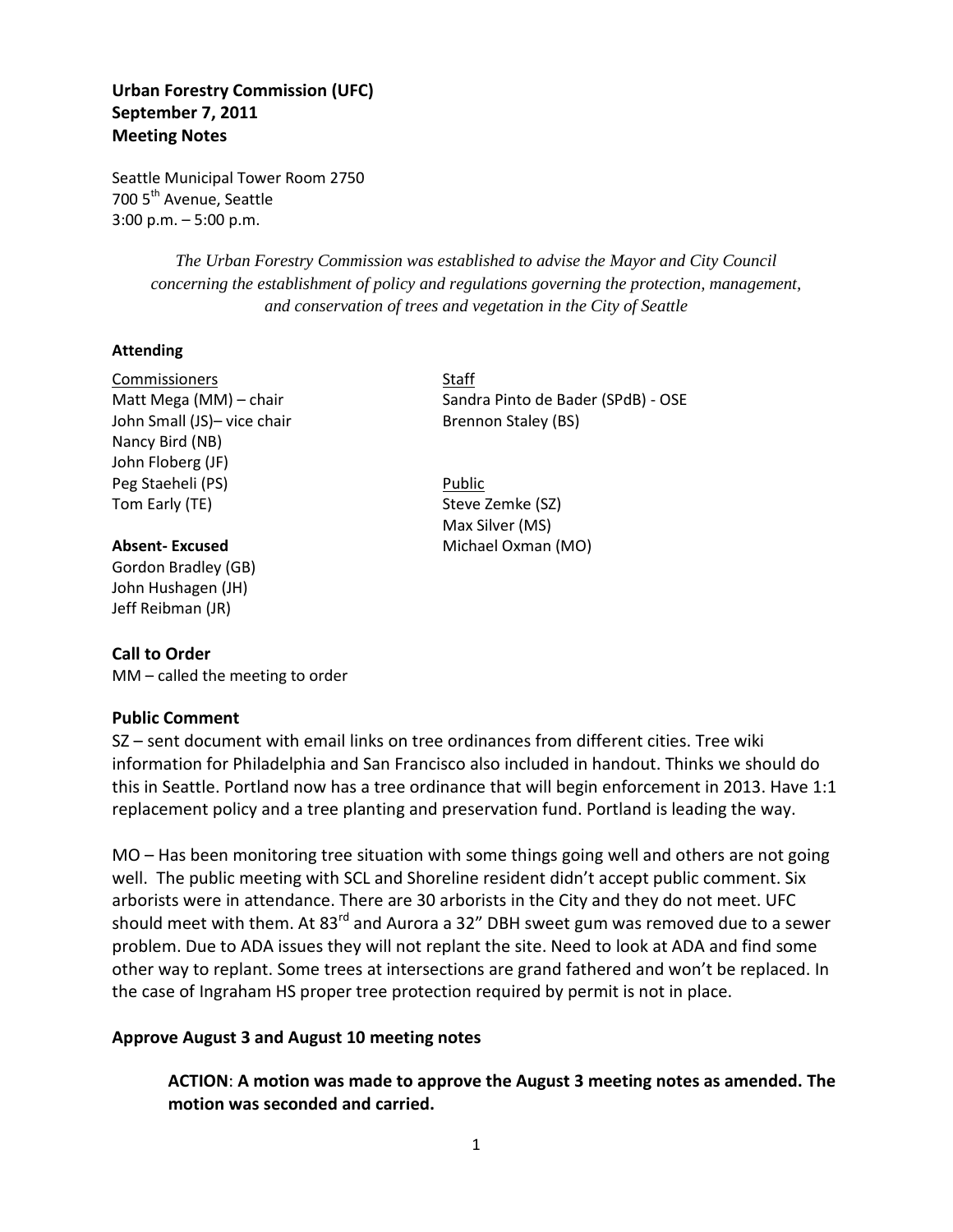# **Urban Forestry Commission (UFC) September 7, 2011 Meeting Notes**

Seattle Municipal Tower Room 2750 700 5<sup>th</sup> Avenue, Seattle 3:00 p.m. – 5:00 p.m.

> *The Urban Forestry Commission was established to advise the Mayor and City Council concerning the establishment of policy and regulations governing the protection, management, and conservation of trees and vegetation in the City of Seattle*

#### **Attending**

Commissioners Staff John Small (JS)- vice chair Brennon Staley (BS) Nancy Bird (NB) John Floberg (JF) Peg Staeheli (PS) Public Tom Early (TE) Steve Zemke (SZ)

Gordon Bradley (GB) John Hushagen (JH) Jeff Reibman (JR)

### **Call to Order**

MM – called the meeting to order

### **Public Comment**

SZ – sent document with email links on tree ordinances from different cities. Tree wiki information for Philadelphia and San Francisco also included in handout. Thinks we should do this in Seattle. Portland now has a tree ordinance that will begin enforcement in 2013. Have 1:1 replacement policy and a tree planting and preservation fund. Portland is leading the way.

MO – Has been monitoring tree situation with some things going well and others are not going well. The public meeting with SCL and Shoreline resident didn't accept public comment. Six arborists were in attendance. There are 30 arborists in the City and they do not meet. UFC should meet with them. At 83<sup>rd</sup> and Aurora a 32" DBH sweet gum was removed due to a sewer problem. Due to ADA issues they will not replant the site. Need to look at ADA and find some other way to replant. Some trees at intersections are grand fathered and won't be replaced. In the case of Ingraham HS proper tree protection required by permit is not in place.

### **Approve August 3 and August 10 meeting notes**

**ACTION**: **A motion was made to approve the August 3 meeting notes as amended. The motion was seconded and carried.**

Matt Mega (MM) – chair Sandra Pinto de Bader (SPdB) - OSE

Max Silver (MS) **Absent-Excused** Michael Oxman (MO)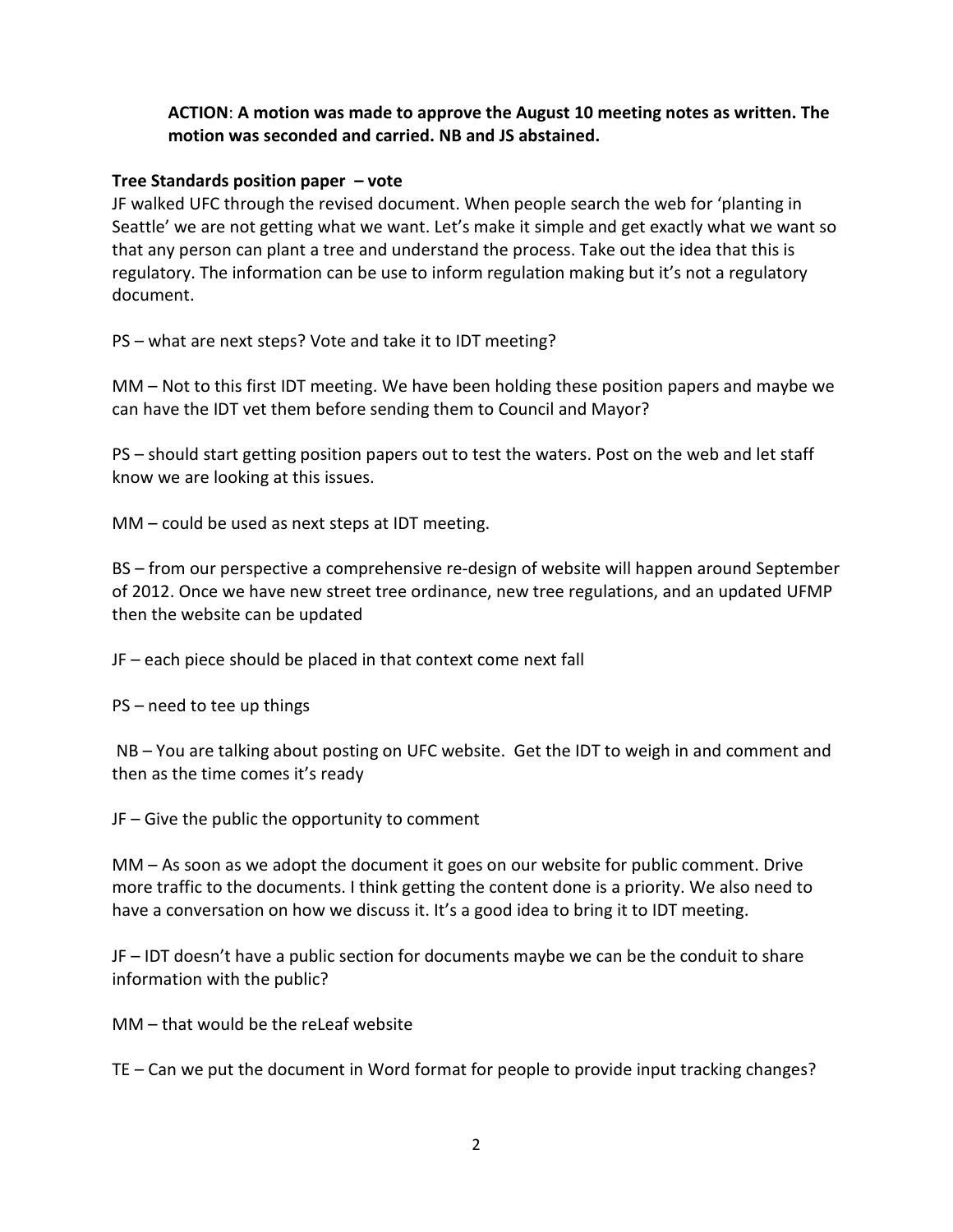# **ACTION**: **A motion was made to approve the August 10 meeting notes as written. The motion was seconded and carried. NB and JS abstained.**

# **Tree Standards position paper – vote**

JF walked UFC through the revised document. When people search the web for 'planting in Seattle' we are not getting what we want. Let's make it simple and get exactly what we want so that any person can plant a tree and understand the process. Take out the idea that this is regulatory. The information can be use to inform regulation making but it's not a regulatory document.

PS – what are next steps? Vote and take it to IDT meeting?

MM – Not to this first IDT meeting. We have been holding these position papers and maybe we can have the IDT vet them before sending them to Council and Mayor?

PS – should start getting position papers out to test the waters. Post on the web and let staff know we are looking at this issues.

MM – could be used as next steps at IDT meeting.

BS – from our perspective a comprehensive re-design of website will happen around September of 2012. Once we have new street tree ordinance, new tree regulations, and an updated UFMP then the website can be updated

JF – each piece should be placed in that context come next fall

PS – need to tee up things

NB – You are talking about posting on UFC website. Get the IDT to weigh in and comment and then as the time comes it's ready

JF – Give the public the opportunity to comment

MM – As soon as we adopt the document it goes on our website for public comment. Drive more traffic to the documents. I think getting the content done is a priority. We also need to have a conversation on how we discuss it. It's a good idea to bring it to IDT meeting.

JF – IDT doesn't have a public section for documents maybe we can be the conduit to share information with the public?

MM – that would be the reLeaf website

TE – Can we put the document in Word format for people to provide input tracking changes?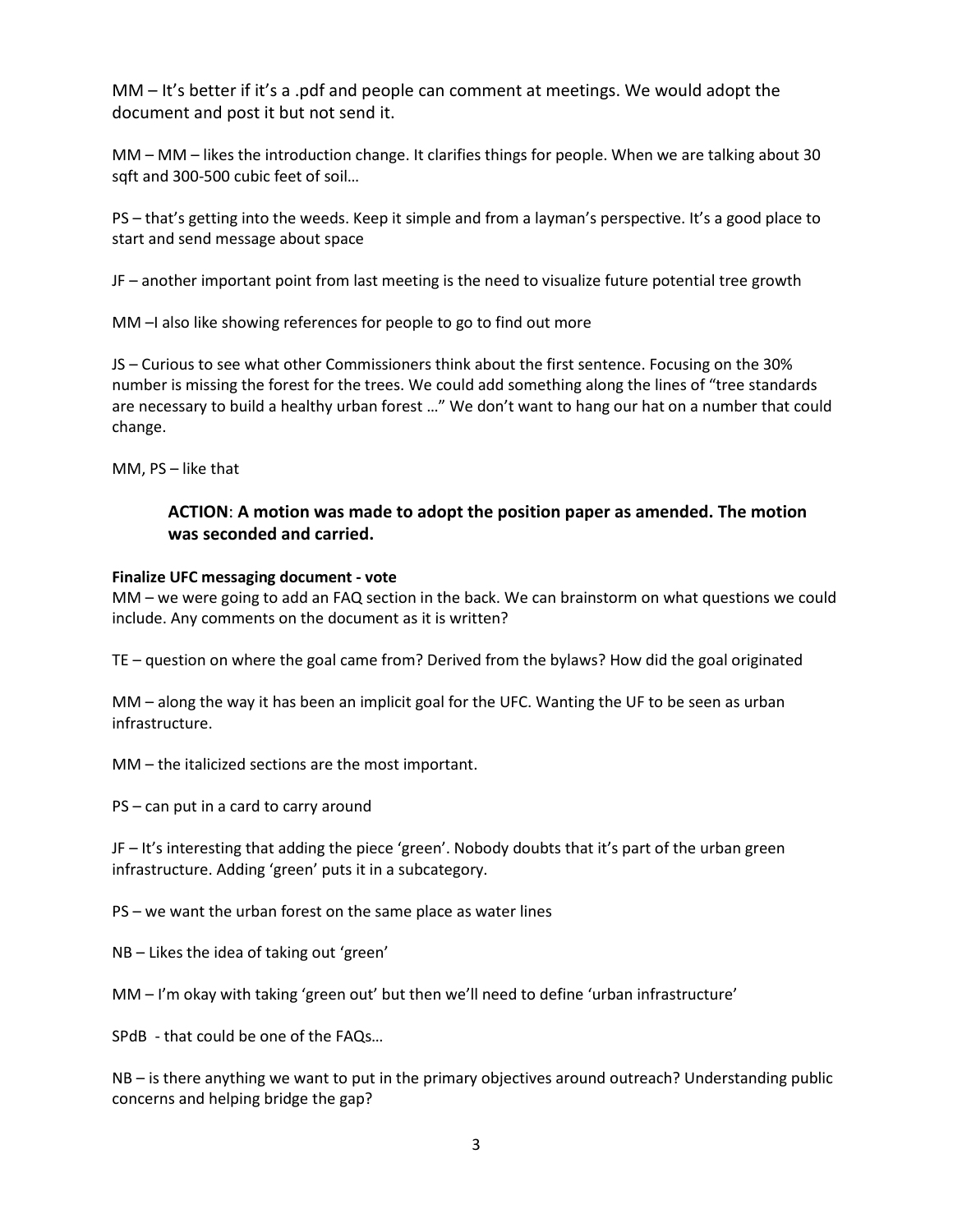MM – It's better if it's a .pdf and people can comment at meetings. We would adopt the document and post it but not send it.

MM – MM – likes the introduction change. It clarifies things for people. When we are talking about 30 sqft and 300-500 cubic feet of soil…

PS – that's getting into the weeds. Keep it simple and from a layman's perspective. It's a good place to start and send message about space

JF – another important point from last meeting is the need to visualize future potential tree growth

MM –I also like showing references for people to go to find out more

JS – Curious to see what other Commissioners think about the first sentence. Focusing on the 30% number is missing the forest for the trees. We could add something along the lines of "tree standards are necessary to build a healthy urban forest …" We don't want to hang our hat on a number that could change.

MM, PS – like that

# **ACTION**: **A motion was made to adopt the position paper as amended. The motion was seconded and carried.**

### **Finalize UFC messaging document - vote**

MM – we were going to add an FAQ section in the back. We can brainstorm on what questions we could include. Any comments on the document as it is written?

TE – question on where the goal came from? Derived from the bylaws? How did the goal originated

MM – along the way it has been an implicit goal for the UFC. Wanting the UF to be seen as urban infrastructure.

MM – the italicized sections are the most important.

PS – can put in a card to carry around

JF – It's interesting that adding the piece 'green'. Nobody doubts that it's part of the urban green infrastructure. Adding 'green' puts it in a subcategory.

PS – we want the urban forest on the same place as water lines

NB – Likes the idea of taking out 'green'

MM – I'm okay with taking 'green out' but then we'll need to define 'urban infrastructure'

SPdB - that could be one of the FAQs…

NB – is there anything we want to put in the primary objectives around outreach? Understanding public concerns and helping bridge the gap?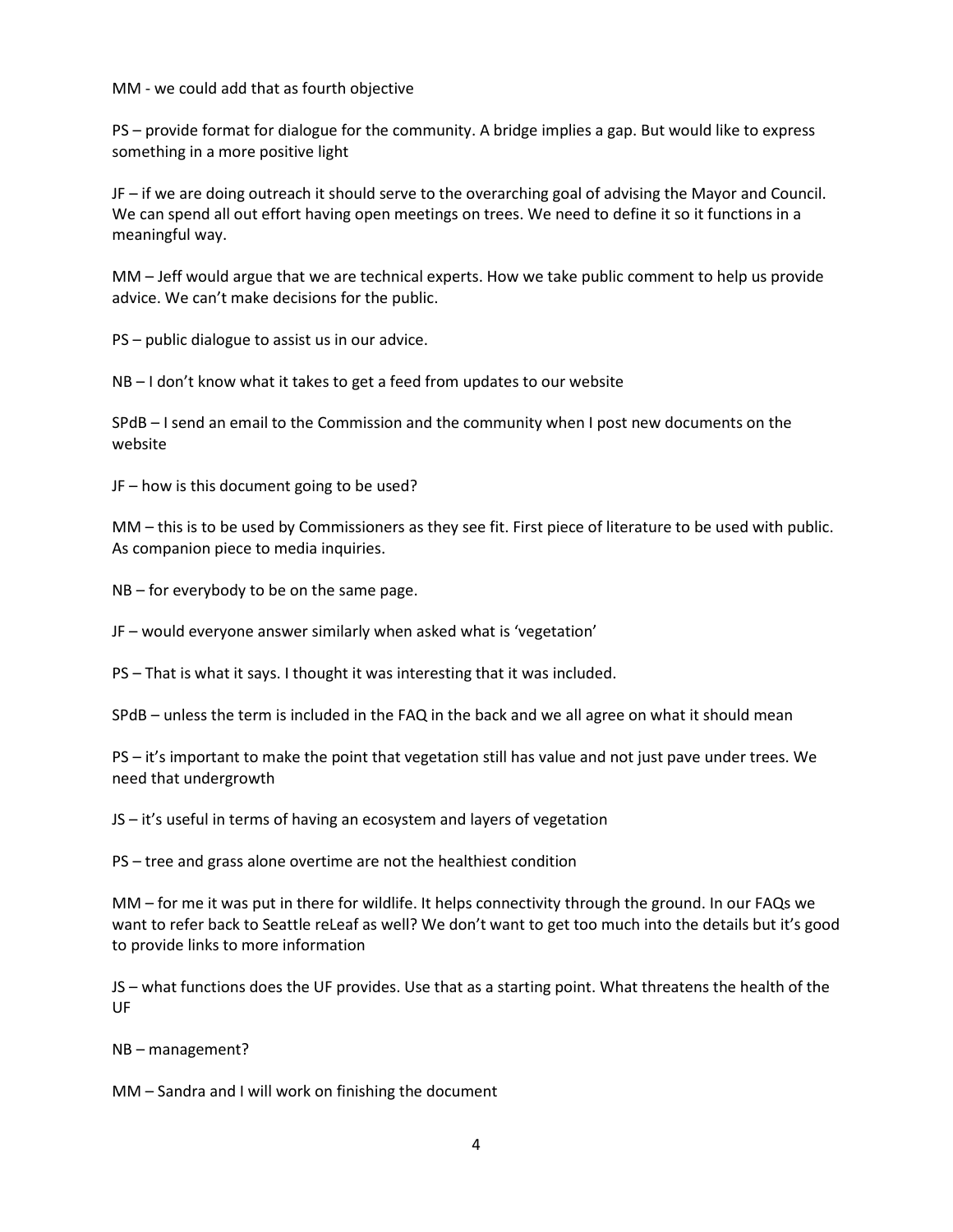MM - we could add that as fourth objective

PS – provide format for dialogue for the community. A bridge implies a gap. But would like to express something in a more positive light

JF – if we are doing outreach it should serve to the overarching goal of advising the Mayor and Council. We can spend all out effort having open meetings on trees. We need to define it so it functions in a meaningful way.

MM – Jeff would argue that we are technical experts. How we take public comment to help us provide advice. We can't make decisions for the public.

PS – public dialogue to assist us in our advice.

NB – I don't know what it takes to get a feed from updates to our website

SPdB – I send an email to the Commission and the community when I post new documents on the website

JF – how is this document going to be used?

MM – this is to be used by Commissioners as they see fit. First piece of literature to be used with public. As companion piece to media inquiries.

NB – for everybody to be on the same page.

JF – would everyone answer similarly when asked what is 'vegetation'

PS – That is what it says. I thought it was interesting that it was included.

SPdB – unless the term is included in the FAQ in the back and we all agree on what it should mean

PS – it's important to make the point that vegetation still has value and not just pave under trees. We need that undergrowth

JS – it's useful in terms of having an ecosystem and layers of vegetation

PS – tree and grass alone overtime are not the healthiest condition

MM – for me it was put in there for wildlife. It helps connectivity through the ground. In our FAQs we want to refer back to Seattle reLeaf as well? We don't want to get too much into the details but it's good to provide links to more information

JS – what functions does the UF provides. Use that as a starting point. What threatens the health of the UF

NB – management?

MM – Sandra and I will work on finishing the document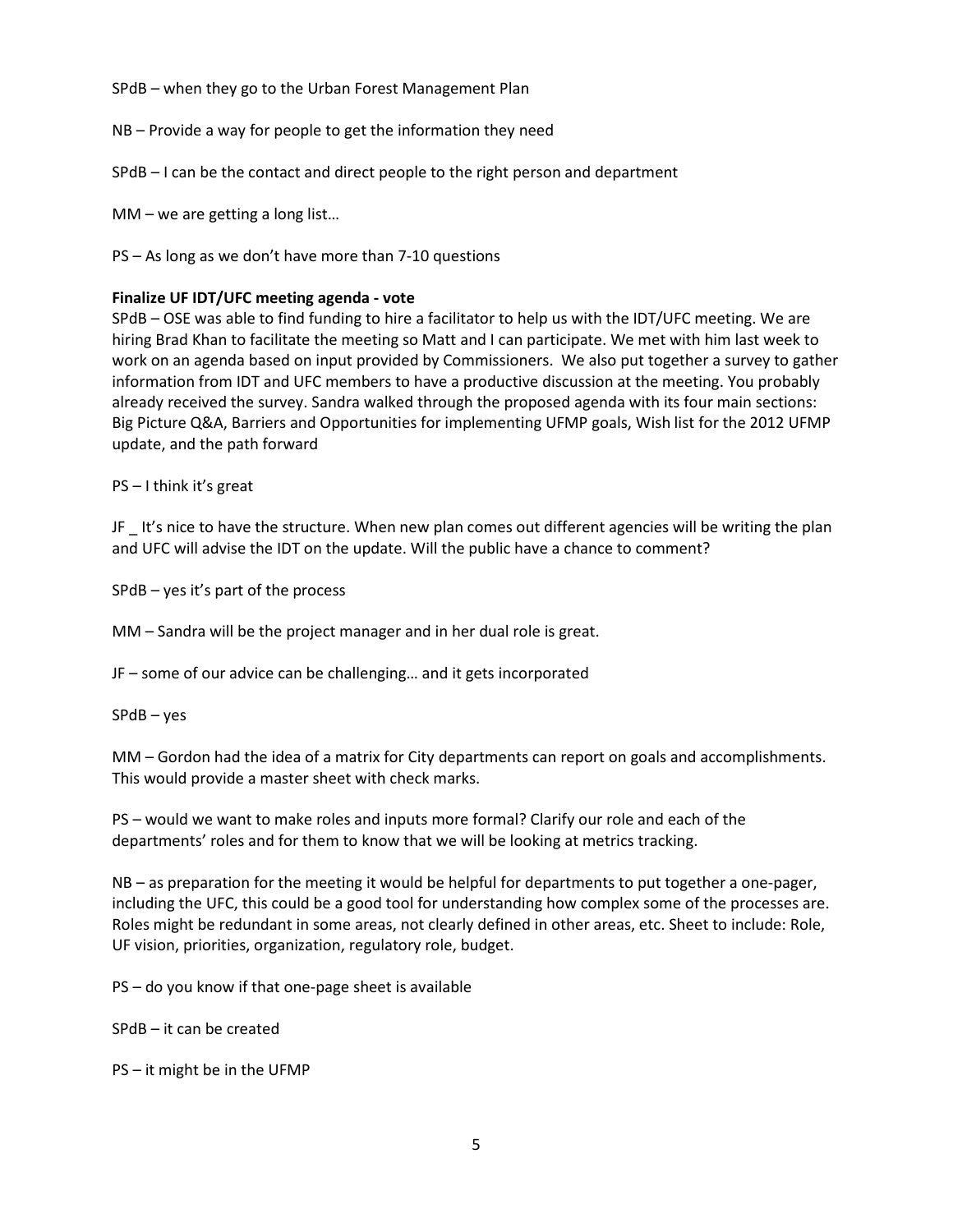SPdB – when they go to the Urban Forest Management Plan

NB – Provide a way for people to get the information they need

SPdB – I can be the contact and direct people to the right person and department

MM – we are getting a long list…

PS – As long as we don't have more than 7-10 questions

#### **Finalize UF IDT/UFC meeting agenda - vote**

SPdB – OSE was able to find funding to hire a facilitator to help us with the IDT/UFC meeting. We are hiring Brad Khan to facilitate the meeting so Matt and I can participate. We met with him last week to work on an agenda based on input provided by Commissioners. We also put together a survey to gather information from IDT and UFC members to have a productive discussion at the meeting. You probably already received the survey. Sandra walked through the proposed agenda with its four main sections: Big Picture Q&A, Barriers and Opportunities for implementing UFMP goals, Wish list for the 2012 UFMP update, and the path forward

PS – I think it's great

JF \_ It's nice to have the structure. When new plan comes out different agencies will be writing the plan and UFC will advise the IDT on the update. Will the public have a chance to comment?

SPdB – yes it's part of the process

MM – Sandra will be the project manager and in her dual role is great.

JF – some of our advice can be challenging… and it gets incorporated

SPdB – yes

MM – Gordon had the idea of a matrix for City departments can report on goals and accomplishments. This would provide a master sheet with check marks.

PS – would we want to make roles and inputs more formal? Clarify our role and each of the departments' roles and for them to know that we will be looking at metrics tracking.

NB – as preparation for the meeting it would be helpful for departments to put together a one-pager, including the UFC, this could be a good tool for understanding how complex some of the processes are. Roles might be redundant in some areas, not clearly defined in other areas, etc. Sheet to include: Role, UF vision, priorities, organization, regulatory role, budget.

PS – do you know if that one-page sheet is available

SPdB – it can be created

PS – it might be in the UFMP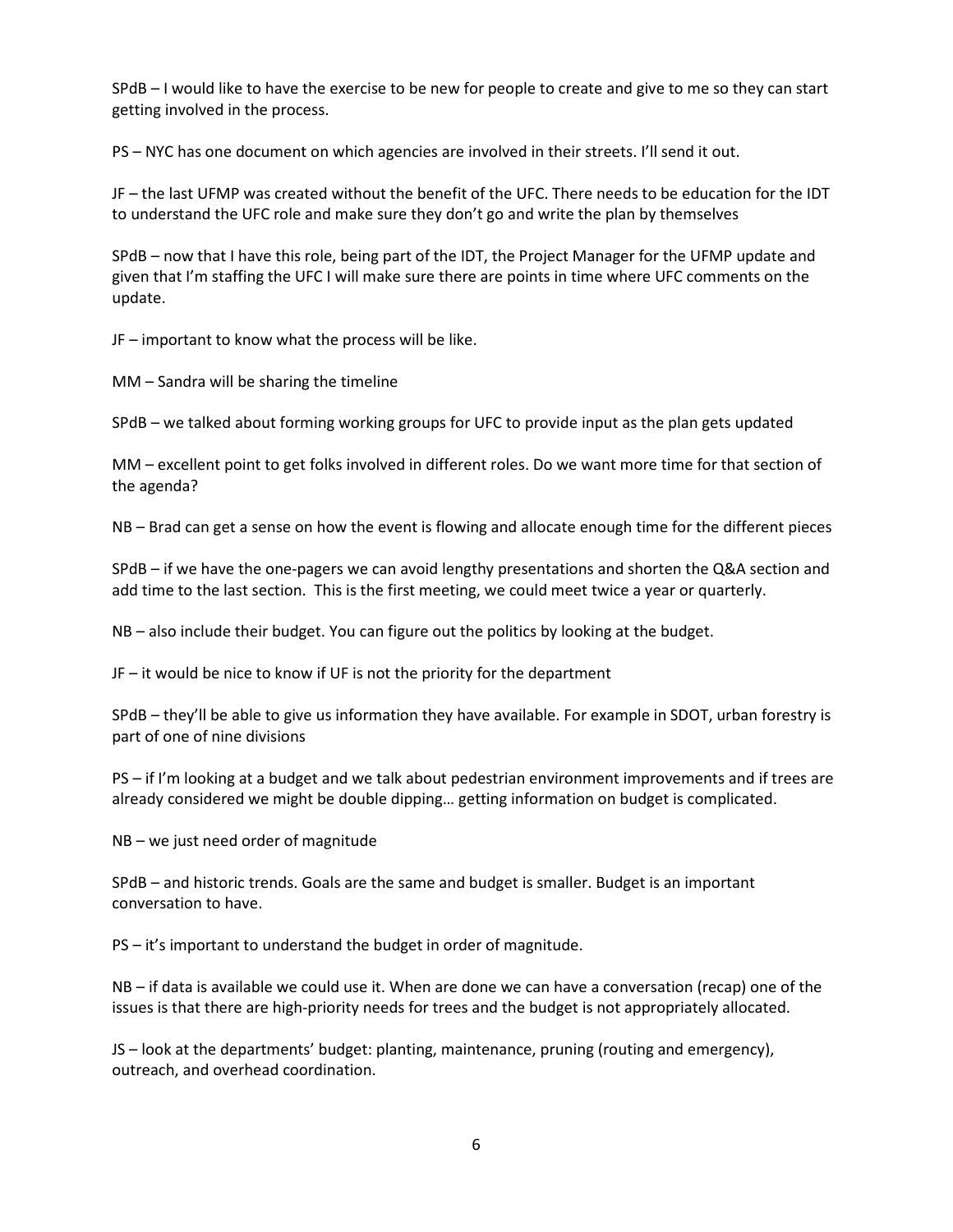SPdB – I would like to have the exercise to be new for people to create and give to me so they can start getting involved in the process.

PS – NYC has one document on which agencies are involved in their streets. I'll send it out.

JF – the last UFMP was created without the benefit of the UFC. There needs to be education for the IDT to understand the UFC role and make sure they don't go and write the plan by themselves

SPdB – now that I have this role, being part of the IDT, the Project Manager for the UFMP update and given that I'm staffing the UFC I will make sure there are points in time where UFC comments on the update.

JF – important to know what the process will be like.

MM – Sandra will be sharing the timeline

SPdB – we talked about forming working groups for UFC to provide input as the plan gets updated

MM – excellent point to get folks involved in different roles. Do we want more time for that section of the agenda?

NB – Brad can get a sense on how the event is flowing and allocate enough time for the different pieces

SPdB – if we have the one-pagers we can avoid lengthy presentations and shorten the Q&A section and add time to the last section. This is the first meeting, we could meet twice a year or quarterly.

NB – also include their budget. You can figure out the politics by looking at the budget.

JF – it would be nice to know if UF is not the priority for the department

SPdB – they'll be able to give us information they have available. For example in SDOT, urban forestry is part of one of nine divisions

PS – if I'm looking at a budget and we talk about pedestrian environment improvements and if trees are already considered we might be double dipping… getting information on budget is complicated.

NB – we just need order of magnitude

SPdB – and historic trends. Goals are the same and budget is smaller. Budget is an important conversation to have.

PS – it's important to understand the budget in order of magnitude.

NB – if data is available we could use it. When are done we can have a conversation (recap) one of the issues is that there are high-priority needs for trees and the budget is not appropriately allocated.

JS – look at the departments' budget: planting, maintenance, pruning (routing and emergency), outreach, and overhead coordination.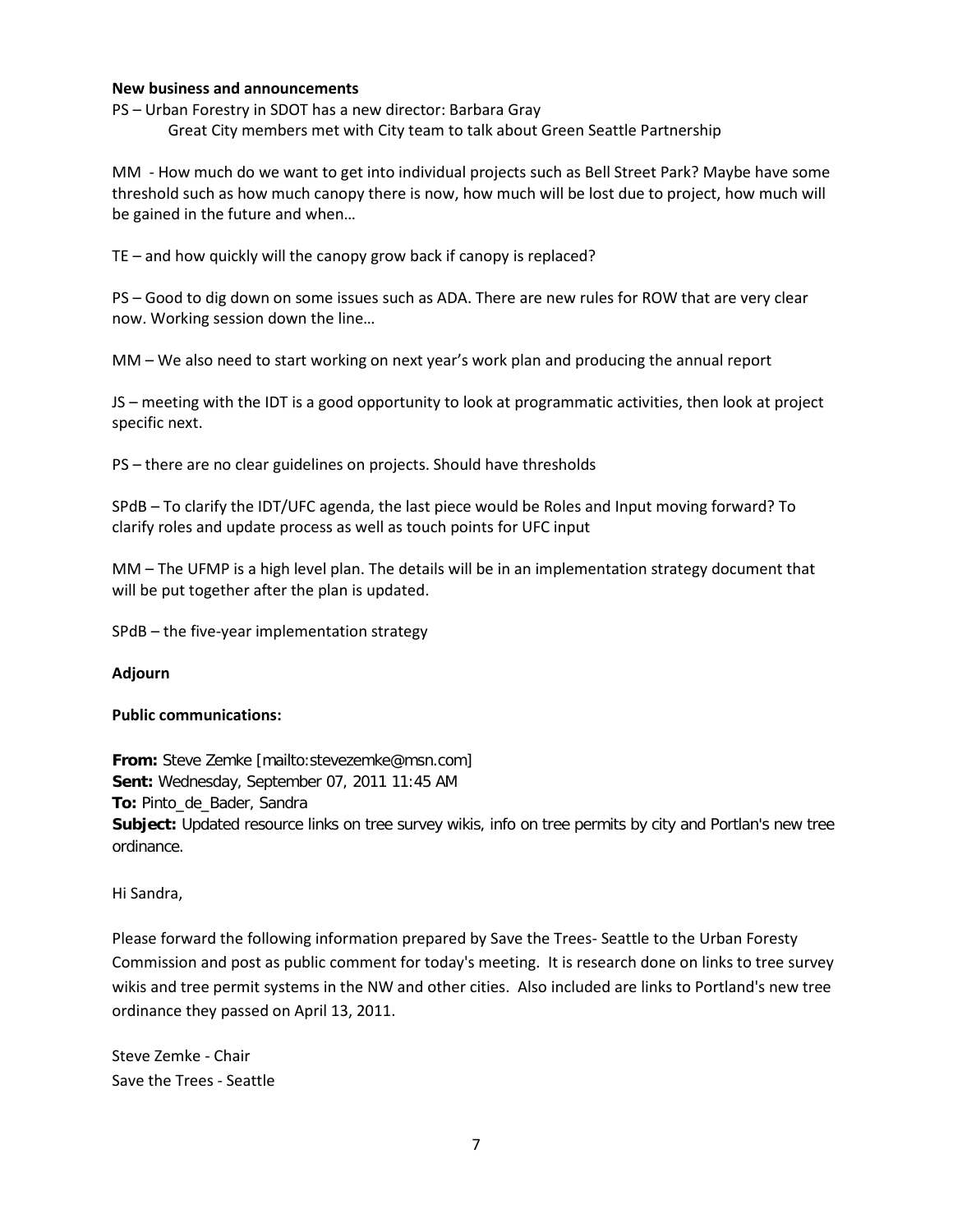#### **New business and announcements**

PS – Urban Forestry in SDOT has a new director: Barbara Gray Great City members met with City team to talk about Green Seattle Partnership

MM - How much do we want to get into individual projects such as Bell Street Park? Maybe have some threshold such as how much canopy there is now, how much will be lost due to project, how much will be gained in the future and when…

TE – and how quickly will the canopy grow back if canopy is replaced?

PS – Good to dig down on some issues such as ADA. There are new rules for ROW that are very clear now. Working session down the line…

MM – We also need to start working on next year's work plan and producing the annual report

JS – meeting with the IDT is a good opportunity to look at programmatic activities, then look at project specific next.

PS – there are no clear guidelines on projects. Should have thresholds

SPdB – To clarify the IDT/UFC agenda, the last piece would be Roles and Input moving forward? To clarify roles and update process as well as touch points for UFC input

MM – The UFMP is a high level plan. The details will be in an implementation strategy document that will be put together after the plan is updated.

SPdB – the five-year implementation strategy

#### **Adjourn**

#### **Public communications:**

**From:** Steve Zemke [mailto:stevezemke@msn.com] **Sent:** Wednesday, September 07, 2011 11:45 AM **To:** Pinto\_de\_Bader, Sandra **Subject:** Updated resource links on tree survey wikis, info on tree permits by city and Portlan's new tree ordinance.

Hi Sandra,

Please forward the following information prepared by Save the Trees- Seattle to the Urban Foresty Commission and post as public comment for today's meeting. It is research done on links to tree survey wikis and tree permit systems in the NW and other cities. Also included are links to Portland's new tree ordinance they passed on April 13, 2011.

Steve Zemke - Chair Save the Trees - Seattle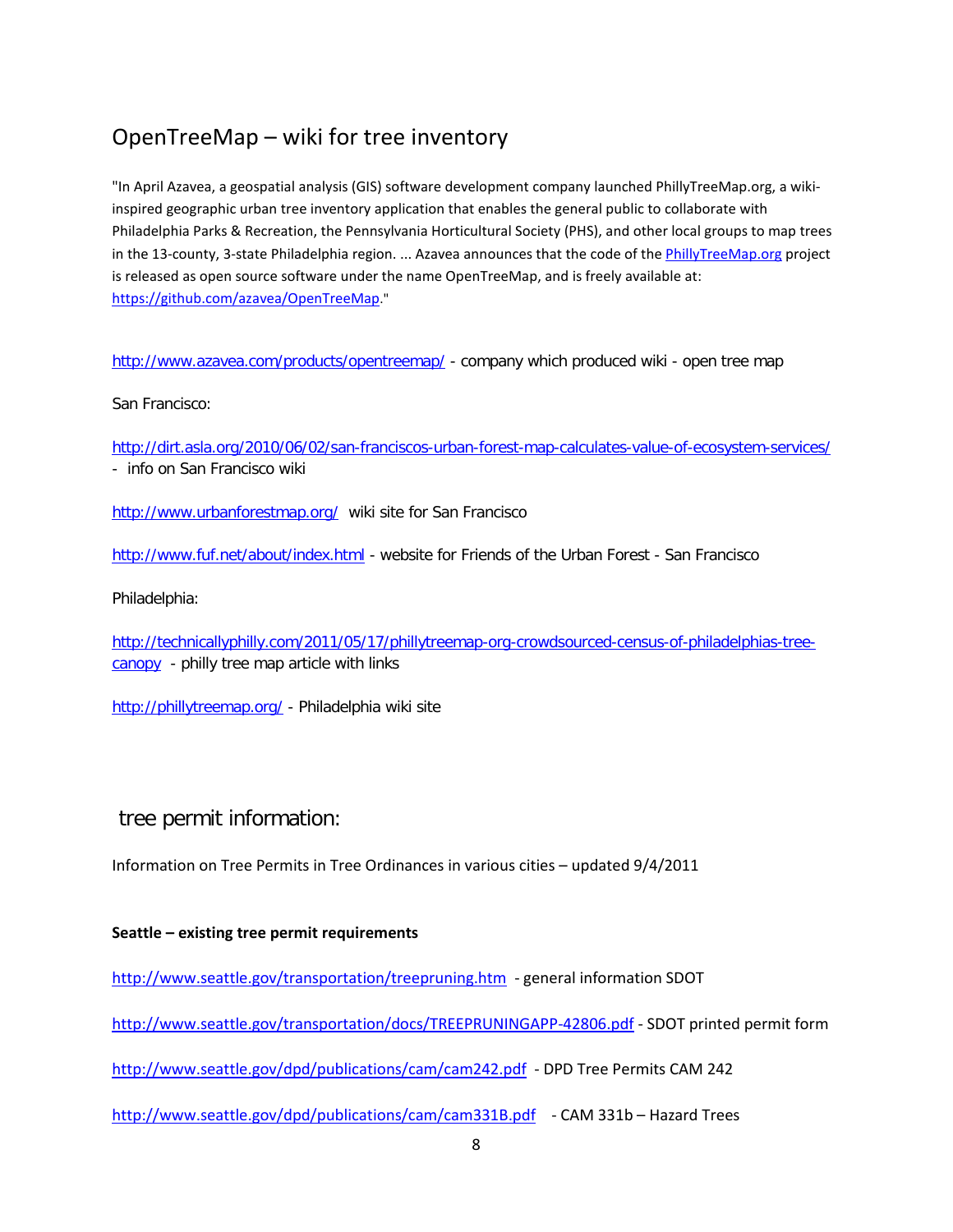# OpenTreeMap – wiki for tree inventory

"In April Azavea, a geospatial analysis (GIS) software development company launched PhillyTreeMap.org, a wikiinspired geographic urban tree inventory application that enables the general public to collaborate with Philadelphia Parks & Recreation, the Pennsylvania Horticultural Society (PHS), and other local groups to map trees in the 13-county, 3-state Philadelphia region. ... Azavea announces that the code of the [PhillyTreeMap.org](http://www.phillytreemap.org/) project is released as open source software under the name OpenTreeMap, and is freely available at: [https://github.com/azavea/OpenTreeMap.](https://github.com/azavea/OpenTreeMap)"

<http://www.azavea.com/products/opentreemap/> - company which produced wiki - open tree map

San Francisco:

<http://dirt.asla.org/2010/06/02/san-franciscos-urban-forest-map-calculates-value-of-ecosystem-services/> - info on San Francisco wiki

<http://www.urbanforestmap.org/> wiki site for San Francisco

<http://www.fuf.net/about/index.html> - website for Friends of the Urban Forest - San Francisco

Philadelphia:

[http://technicallyphilly.com/2011/05/17/phillytreemap-org-crowdsourced-census-of-philadelphias-tree](http://technicallyphilly.com/2011/05/17/phillytreemap-org-crowdsourced-census-of-philadelphias-tree-canopy)[canopy](http://technicallyphilly.com/2011/05/17/phillytreemap-org-crowdsourced-census-of-philadelphias-tree-canopy) - philly tree map article with links

<http://phillytreemap.org/> - Philadelphia wiki site

tree permit information:

Information on Tree Permits in Tree Ordinances in various cities – updated 9/4/2011

#### **Seattle – existing tree permit requirements**

<http://www.seattle.gov/transportation/treepruning.htm> - general information SDOT

<http://www.seattle.gov/transportation/docs/TREEPRUNINGAPP-42806.pdf> - SDOT printed permit form

<http://www.seattle.gov/dpd/publications/cam/cam242.pdf> - DPD Tree Permits CAM 242

<http://www.seattle.gov/dpd/publications/cam/cam331B.pdf>- CAM 331b – Hazard Trees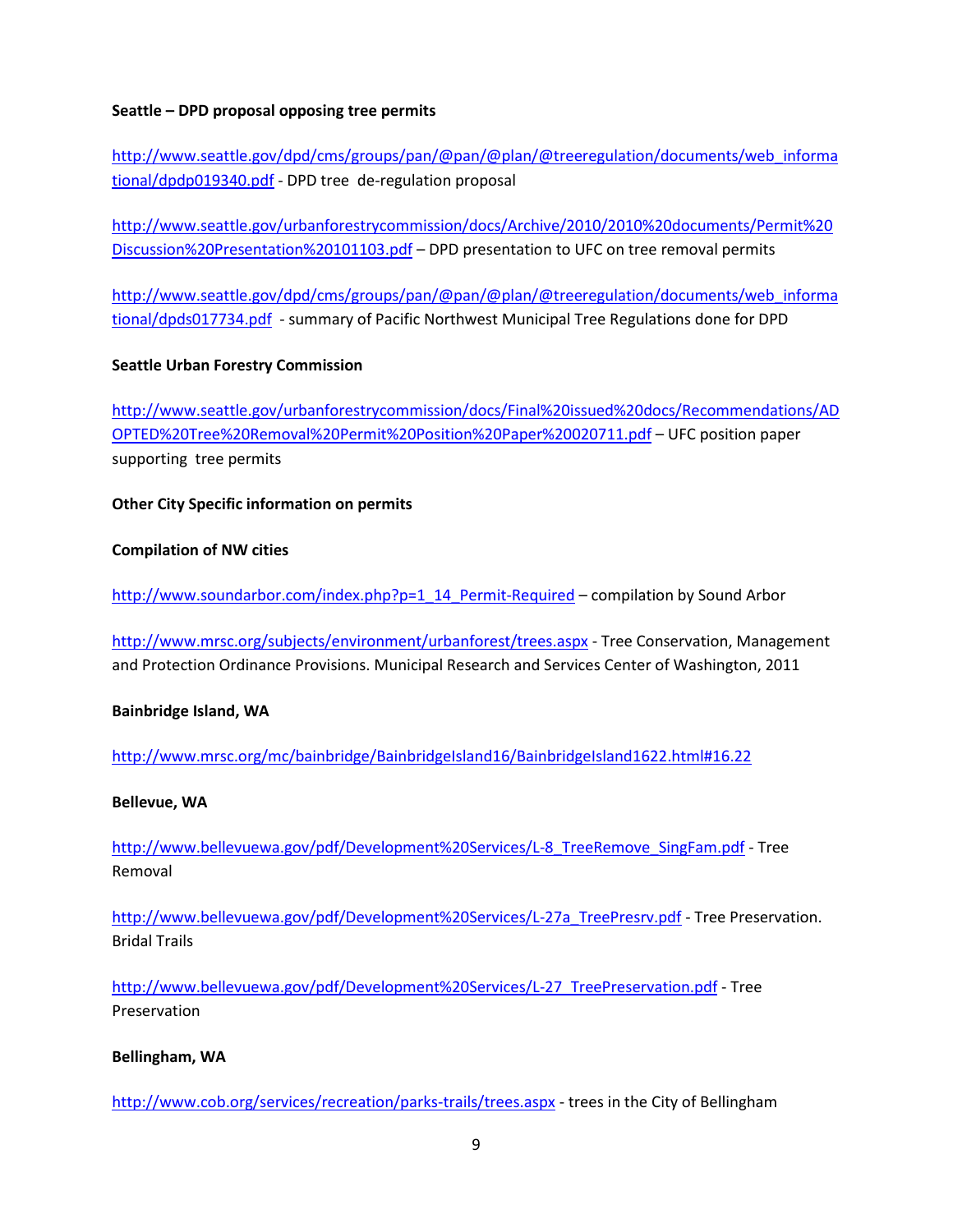### **Seattle – DPD proposal opposing tree permits**

[http://www.seattle.gov/dpd/cms/groups/pan/@pan/@plan/@treeregulation/documents/web\\_informa](http://www.seattle.gov/dpd/cms/groups/pan/%40pan/%40plan/%40treeregulation/documents/web_informational/dpdp019340.pdf) [tional/dpdp019340.pdf](http://www.seattle.gov/dpd/cms/groups/pan/%40pan/%40plan/%40treeregulation/documents/web_informational/dpdp019340.pdf) - DPD tree de-regulation proposal

[http://www.seattle.gov/urbanforestrycommission/docs/Archive/2010/2010%20documents/Permit%20](http://www.seattle.gov/urbanforestrycommission/docs/Archive/2010/2010%20documents/Permit%20Discussion%20Presentation%20101103.pdf) [Discussion%20Presentation%20101103.pdf](http://www.seattle.gov/urbanforestrycommission/docs/Archive/2010/2010%20documents/Permit%20Discussion%20Presentation%20101103.pdf) – DPD presentation to UFC on tree removal permits

[http://www.seattle.gov/dpd/cms/groups/pan/@pan/@plan/@treeregulation/documents/web\\_informa](http://www.seattle.gov/dpd/cms/groups/pan/%40pan/%40plan/%40treeregulation/documents/web_informational/dpds017734.pdf) [tional/dpds017734.pdf](http://www.seattle.gov/dpd/cms/groups/pan/%40pan/%40plan/%40treeregulation/documents/web_informational/dpds017734.pdf) - summary of Pacific Northwest Municipal Tree Regulations done for DPD

# **Seattle Urban Forestry Commission**

[http://www.seattle.gov/urbanforestrycommission/docs/Final%20issued%20docs/Recommendations/AD](http://www.seattle.gov/urbanforestrycommission/docs/Final%20issued%20docs/Recommendations/ADOPTED%20Tree%20Removal%20Permit%20Position%20Paper%20020711.pdf) [OPTED%20Tree%20Removal%20Permit%20Position%20Paper%20020711.pdf](http://www.seattle.gov/urbanforestrycommission/docs/Final%20issued%20docs/Recommendations/ADOPTED%20Tree%20Removal%20Permit%20Position%20Paper%20020711.pdf) – UFC position paper supporting tree permits

# **Other City Specific information on permits**

### **Compilation of NW cities**

[http://www.soundarbor.com/index.php?p=1\\_14\\_Permit-Required](http://www.soundarbor.com/index.php?p=1_14_Permit-Required) – compilation by Sound Arbor

<http://www.mrsc.org/subjects/environment/urbanforest/trees.aspx> - Tree Conservation, Management and Protection Ordinance Provisions. Municipal Research and Services Center of Washington, 2011

### **Bainbridge Island, WA**

<http://www.mrsc.org/mc/bainbridge/BainbridgeIsland16/BainbridgeIsland1622.html#16.22>

### **Bellevue, WA**

[http://www.bellevuewa.gov/pdf/Development%20Services/L-8\\_TreeRemove\\_SingFam.pdf](http://www.bellevuewa.gov/pdf/Development%20Services/L-8_TreeRemove_SingFam.pdf) - Tree Removal

[http://www.bellevuewa.gov/pdf/Development%20Services/L-27a\\_TreePresrv.pdf](http://www.bellevuewa.gov/pdf/Development%20Services/L-27a_TreePresrv.pdf) - Tree Preservation. Bridal Trails

[http://www.bellevuewa.gov/pdf/Development%20Services/L-27\\_TreePreservation.pdf](http://www.bellevuewa.gov/pdf/Development%20Services/L-27_TreePreservation.pdf) - Tree Preservation

### **Bellingham, WA**

<http://www.cob.org/services/recreation/parks-trails/trees.aspx> - trees in the City of Bellingham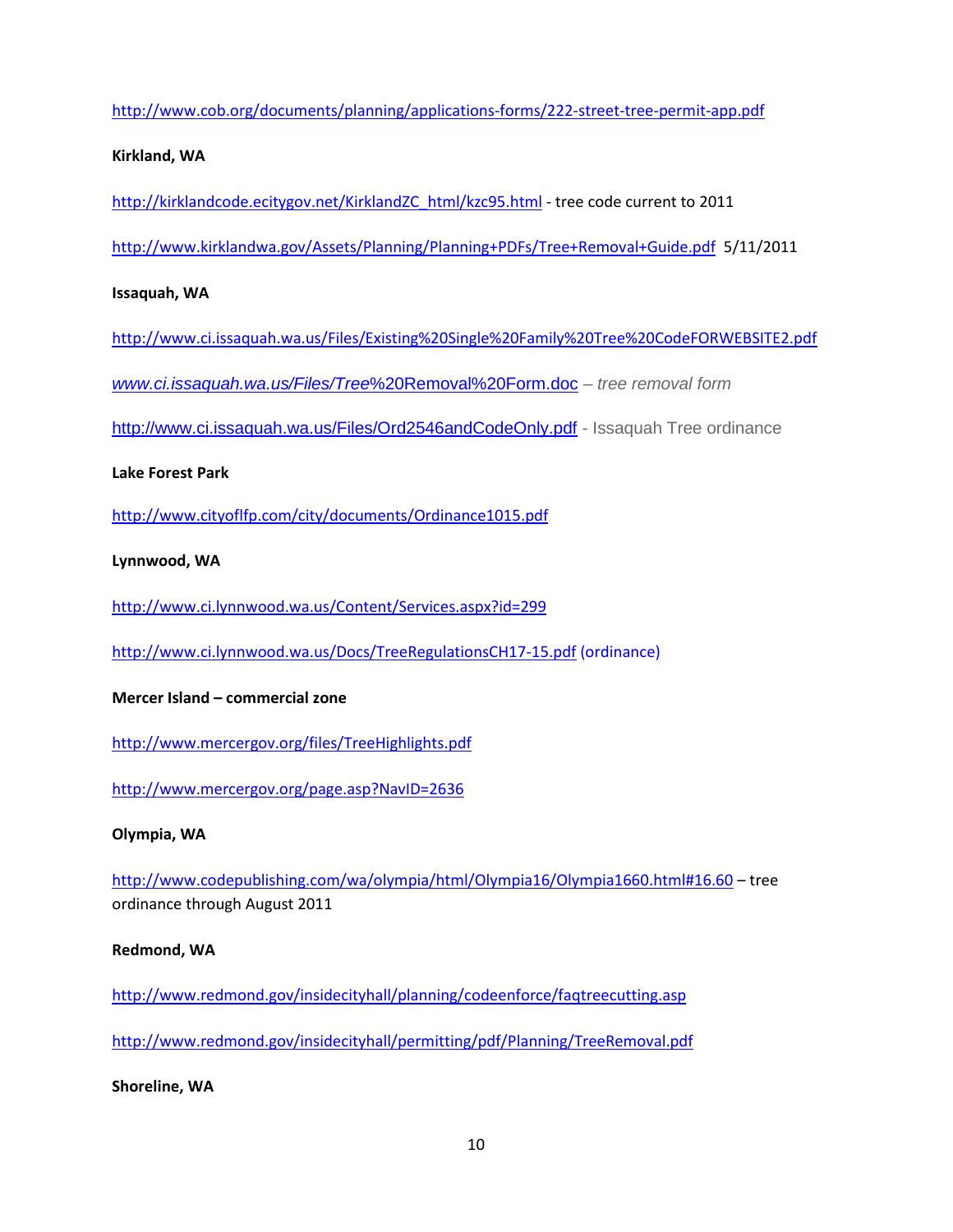<http://www.cob.org/documents/planning/applications-forms/222-street-tree-permit-app.pdf>

#### **Kirkland, WA**

[http://kirklandcode.ecitygov.net/KirklandZC\\_html/kzc95.html](http://kirklandcode.ecitygov.net/KirklandZC_html/kzc95.html) - tree code current to 2011

<http://www.kirklandwa.gov/Assets/Planning/Planning+PDFs/Tree+Removal+Guide.pdf> 5/11/2011

### **Issaquah, WA**

<http://www.ci.issaquah.wa.us/Files/Existing%20Single%20Family%20Tree%20CodeFORWEBSITE2.pdf>

*[www.ci.issaquah.wa.us/Files/Tree](http://www.ci.issaquah.wa.us/Files/Tree%20Removal%20Form.doc)*%20Removal%20Form.doc *– tree removal form*

<http://www.ci.issaquah.wa.us/Files/Ord2546andCodeOnly.pdf> - Issaquah Tree ordinance

#### **Lake Forest Park**

<http://www.cityoflfp.com/city/documents/Ordinance1015.pdf>

### **Lynnwood, WA**

<http://www.ci.lynnwood.wa.us/Content/Services.aspx?id=299>

<http://www.ci.lynnwood.wa.us/Docs/TreeRegulationsCH17-15.pdf> (ordinance)

### **Mercer Island – commercial zone**

<http://www.mercergov.org/files/TreeHighlights.pdf>

<http://www.mercergov.org/page.asp?NavID=2636>

### **Olympia, WA**

<http://www.codepublishing.com/wa/olympia/html/Olympia16/Olympia1660.html#16.60> – tree ordinance through August 2011

### **Redmond, WA**

<http://www.redmond.gov/insidecityhall/planning/codeenforce/faqtreecutting.asp>

<http://www.redmond.gov/insidecityhall/permitting/pdf/Planning/TreeRemoval.pdf>

**Shoreline, WA**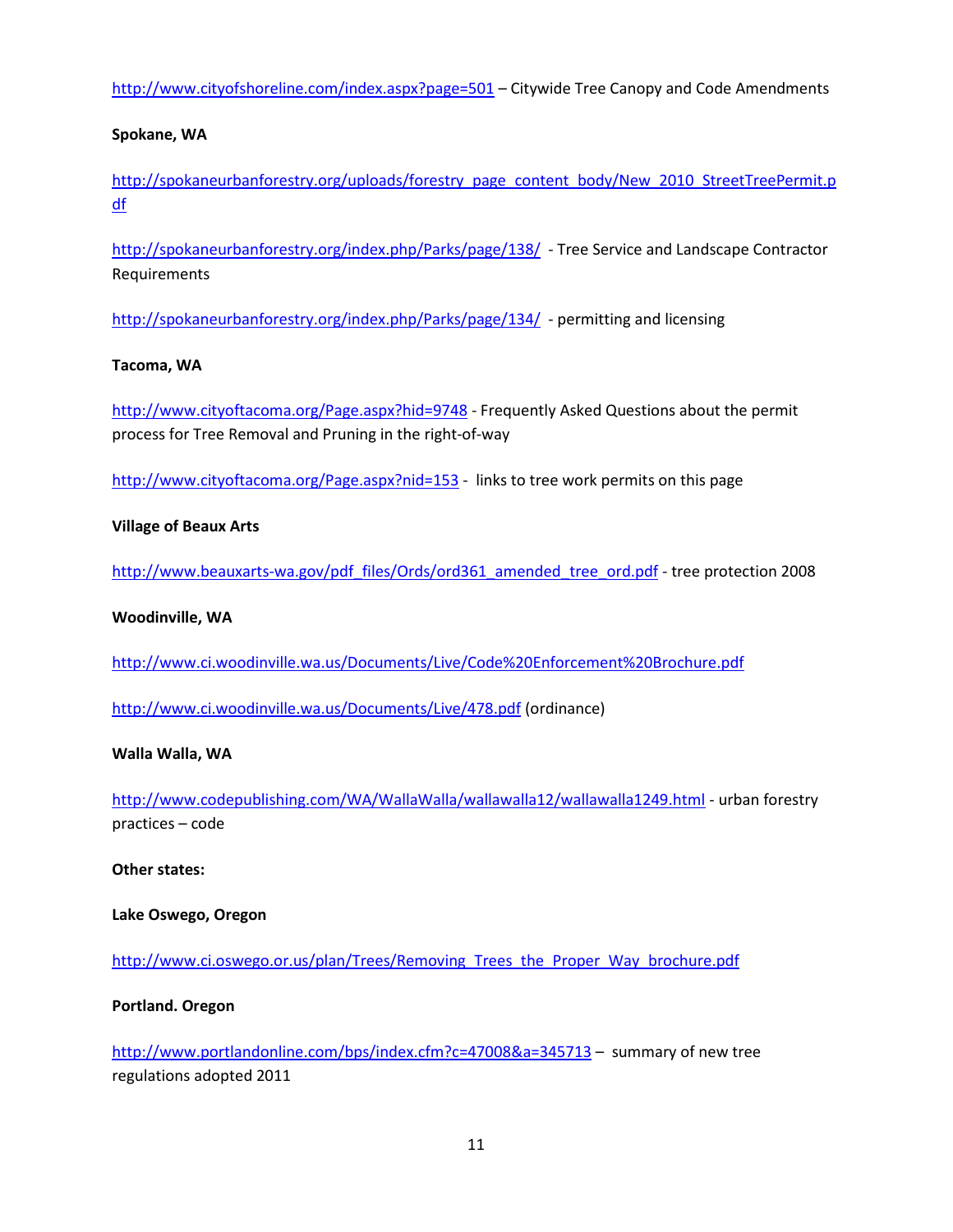<http://www.cityofshoreline.com/index.aspx?page=501> – Citywide Tree Canopy and Code Amendments

#### **Spokane, WA**

[http://spokaneurbanforestry.org/uploads/forestry\\_page\\_content\\_body/New\\_2010\\_StreetTreePermit.p](http://spokaneurbanforestry.org/uploads/forestry_page_content_body/New_2010_StreetTreePermit.pdf) [df](http://spokaneurbanforestry.org/uploads/forestry_page_content_body/New_2010_StreetTreePermit.pdf)

<http://spokaneurbanforestry.org/index.php/Parks/page/138/> - Tree Service and Landscape Contractor Requirements

<http://spokaneurbanforestry.org/index.php/Parks/page/134/> - permitting and licensing

#### **Tacoma, WA**

<http://www.cityoftacoma.org/Page.aspx?hid=9748> - Frequently Asked Questions about the permit process for Tree Removal and Pruning in the right-of-way

<http://www.cityoftacoma.org/Page.aspx?nid=153> - links to tree work permits on this page

#### **Village of Beaux Arts**

[http://www.beauxarts-wa.gov/pdf\\_files/Ords/ord361\\_amended\\_tree\\_ord.pdf](http://www.beauxarts-wa.gov/pdf_files/Ords/ord361_amended_tree_ord.pdf) - tree protection 2008

#### **Woodinville, WA**

<http://www.ci.woodinville.wa.us/Documents/Live/Code%20Enforcement%20Brochure.pdf>

<http://www.ci.woodinville.wa.us/Documents/Live/478.pdf> (ordinance)

#### **Walla Walla, WA**

<http://www.codepublishing.com/WA/WallaWalla/wallawalla12/wallawalla1249.html> - urban forestry practices – code

**Other states:**

**Lake Oswego, Oregon**

[http://www.ci.oswego.or.us/plan/Trees/Removing\\_Trees\\_the\\_Proper\\_Way\\_brochure.pdf](http://www.ci.oswego.or.us/plan/Trees/Removing_Trees_the_Proper_Way_brochure.pdf)

#### **Portland. Oregon**

<http://www.portlandonline.com/bps/index.cfm?c=47008&a=345713> – summary of new tree regulations adopted 2011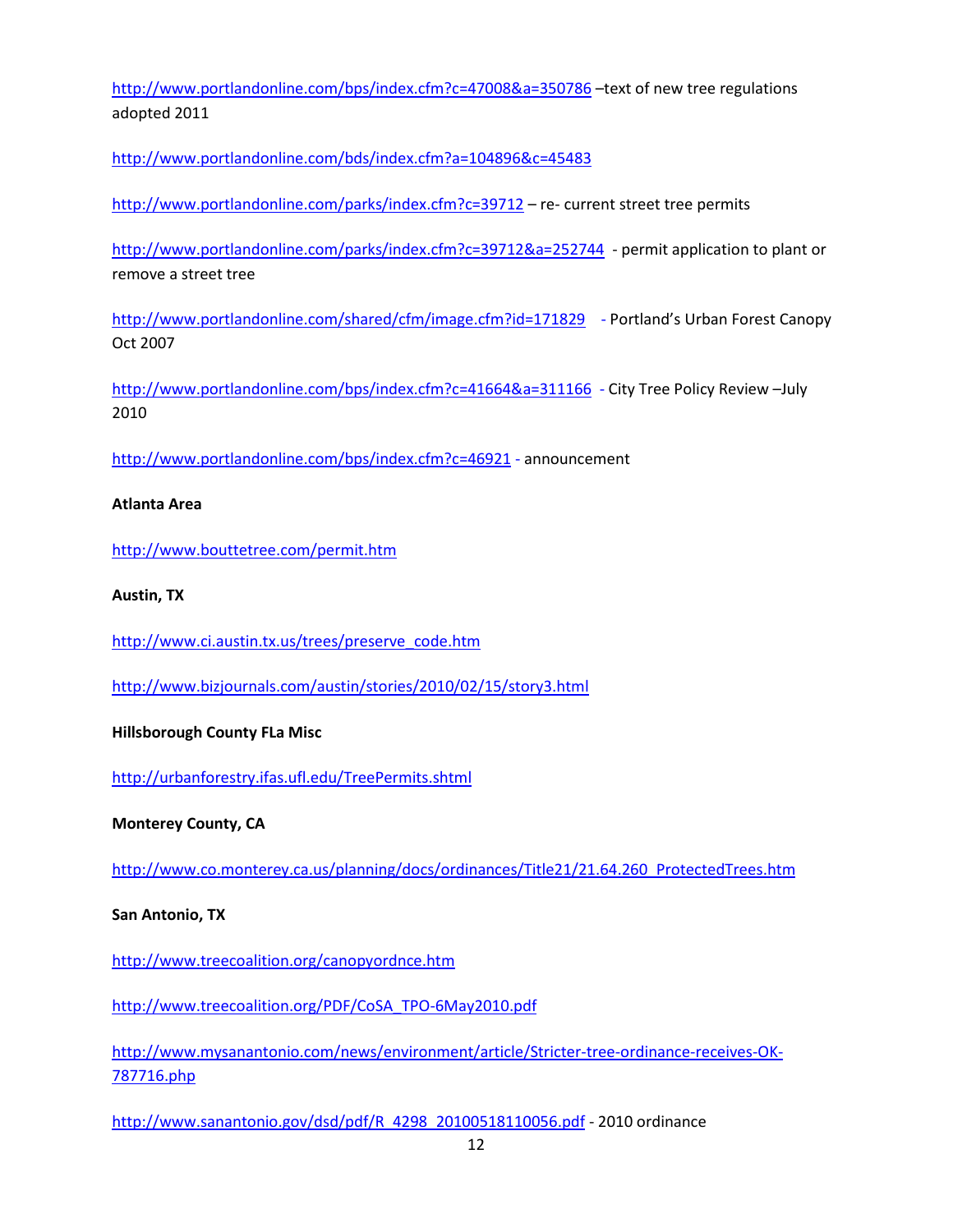<http://www.portlandonline.com/bps/index.cfm?c=47008&a=350786> –text of new tree regulations adopted 2011

<http://www.portlandonline.com/bds/index.cfm?a=104896&c=45483>

<http://www.portlandonline.com/parks/index.cfm?c=39712> – re- current street tree permits

<http://www.portlandonline.com/parks/index.cfm?c=39712&a=252744> - permit application to plant or remove a street tree

<http://www.portlandonline.com/shared/cfm/image.cfm?id=171829> - Portland's Urban Forest Canopy Oct 2007

<http://www.portlandonline.com/bps/index.cfm?c=41664&a=311166> - City Tree Policy Review –July 2010

<http://www.portlandonline.com/bps/index.cfm?c=46921> - announcement

#### **Atlanta Area**

<http://www.bouttetree.com/permit.htm>

#### **Austin, TX**

[http://www.ci.austin.tx.us/trees/preserve\\_code.htm](http://www.ci.austin.tx.us/trees/preserve_code.htm)

<http://www.bizjournals.com/austin/stories/2010/02/15/story3.html>

#### **Hillsborough County FLa Misc**

<http://urbanforestry.ifas.ufl.edu/TreePermits.shtml>

**Monterey County, CA**

[http://www.co.monterey.ca.us/planning/docs/ordinances/Title21/21.64.260\\_ProtectedTrees.htm](http://www.co.monterey.ca.us/planning/docs/ordinances/Title21/21.64.260_ProtectedTrees.htm)

#### **San Antonio, TX**

<http://www.treecoalition.org/canopyordnce.htm>

[http://www.treecoalition.org/PDF/CoSA\\_TPO-6May2010.pdf](http://www.treecoalition.org/PDF/CoSA_TPO-6May2010.pdf)

[http://www.mysanantonio.com/news/environment/article/Stricter-tree-ordinance-receives-OK-](http://www.mysanantonio.com/news/environment/article/Stricter-tree-ordinance-receives-OK-787716.php)[787716.php](http://www.mysanantonio.com/news/environment/article/Stricter-tree-ordinance-receives-OK-787716.php)

[http://www.sanantonio.gov/dsd/pdf/R\\_4298\\_20100518110056.pdf](http://www.sanantonio.gov/dsd/pdf/R_4298_20100518110056.pdf) - 2010 ordinance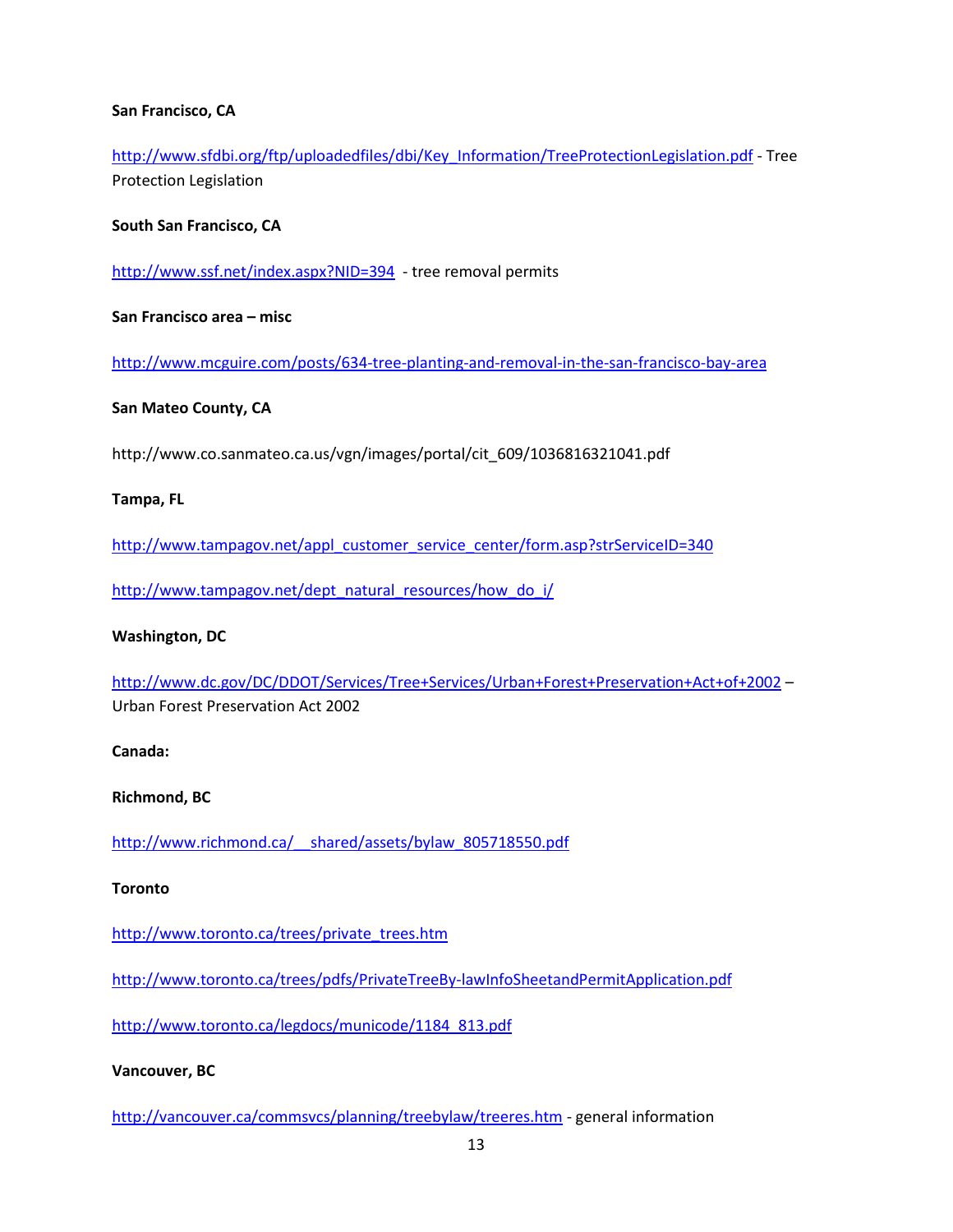### **San Francisco, CA**

[http://www.sfdbi.org/ftp/uploadedfiles/dbi/Key\\_Information/TreeProtectionLegislation.pdf](http://www.sfdbi.org/ftp/uploadedfiles/dbi/Key_Information/TreeProtectionLegislation.pdf) - Tree Protection Legislation

#### **South San Francisco, CA**

<http://www.ssf.net/index.aspx?NID=394> - tree removal permits

**San Francisco area – misc**

<http://www.mcguire.com/posts/634-tree-planting-and-removal-in-the-san-francisco-bay-area>

#### **San Mateo County, CA**

http://www.co.sanmateo.ca.us/vgn/images/portal/cit\_609/1036816321041.pdf

#### **Tampa, FL**

[http://www.tampagov.net/appl\\_customer\\_service\\_center/form.asp?strServiceID=340](http://www.tampagov.net/appl_customer_service_center/form.asp?strServiceID=340)

[http://www.tampagov.net/dept\\_natural\\_resources/how\\_do\\_i/](http://www.tampagov.net/dept_natural_resources/how_do_i/)

#### **Washington, DC**

<http://www.dc.gov/DC/DDOT/Services/Tree+Services/Urban+Forest+Preservation+Act+of+2002> – Urban Forest Preservation Act 2002

**Canada:**

**Richmond, BC**

[http://www.richmond.ca/\\_\\_shared/assets/bylaw\\_805718550.pdf](http://www.richmond.ca/__shared/assets/bylaw_805718550.pdf)

#### **Toronto**

[http://www.toronto.ca/trees/private\\_trees.htm](http://www.toronto.ca/trees/private_trees.htm)

<http://www.toronto.ca/trees/pdfs/PrivateTreeBy-lawInfoSheetandPermitApplication.pdf>

[http://www.toronto.ca/legdocs/municode/1184\\_813.pdf](http://www.toronto.ca/legdocs/municode/1184_813.pdf)

#### **Vancouver, BC**

<http://vancouver.ca/commsvcs/planning/treebylaw/treeres.htm> - general information